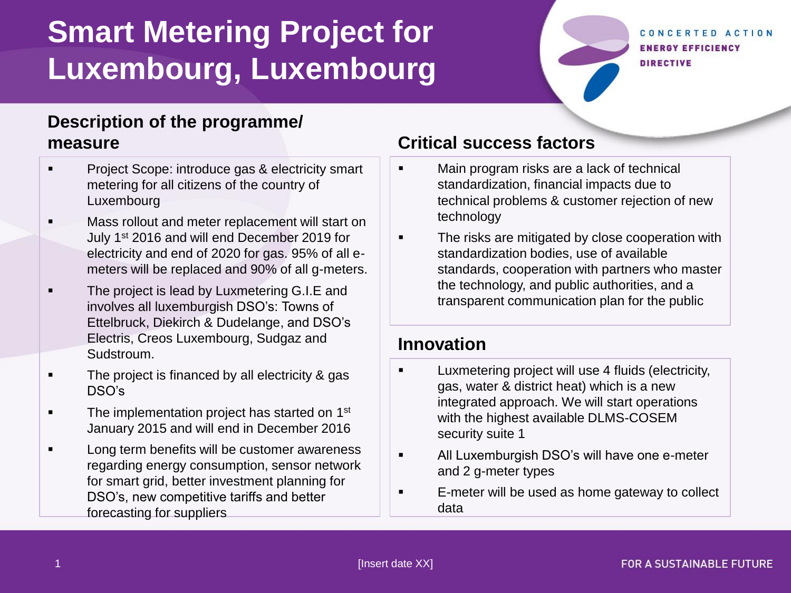# **Smart Metering Project for Luxembourg, Luxembourg**

CONCERTED ACTION **ENERGY EFFICIENCY DIRECTIVE** 

### **Description of the programme/ measure**

- **Project Scope: introduce gas & electricity smart** metering for all citizens of the country of Luxembourg
- Mass rollout and meter replacement will start on July 1<sup>st</sup> 2016 and will end December 2019 for electricity and end of 2020 for gas. 95% of all emeters will be replaced and 90% of all g-meters.
- The project is lead by Luxmetering G.I.E and involves all luxemburgish DSO's: Towns of Ettelbruck, Diekirch & Dudelange, and DSO's Electris, Creos Luxembourg, Sudgaz and Sudstroum.
- The project is financed by all electricity & gas DSO's
- **The implementation project has started on 1st** January 2015 and will end in December 2016
- Long term benefits will be customer awareness regarding energy consumption, sensor network for smart grid, better investment planning for DSO's, new competitive tariffs and better forecasting for suppliers

### **Critical success factors**

- Main program risks are a lack of technical standardization, financial impacts due to technical problems & customer rejection of new technology
- The risks are mitigated by close cooperation with standardization bodies, use of available standards, cooperation with partners who master the technology, and public authorities, and a transparent communication plan for the public

#### **Innovation**

- Luxmetering project will use 4 fluids (electricity, gas, water & district heat) which is a new integrated approach. We will start operations with the highest available DLMS-COSEM security suite 1
- All Luxemburgish DSO's will have one e-meter and 2 g-meter types
- E-meter will be used as home gateway to collect data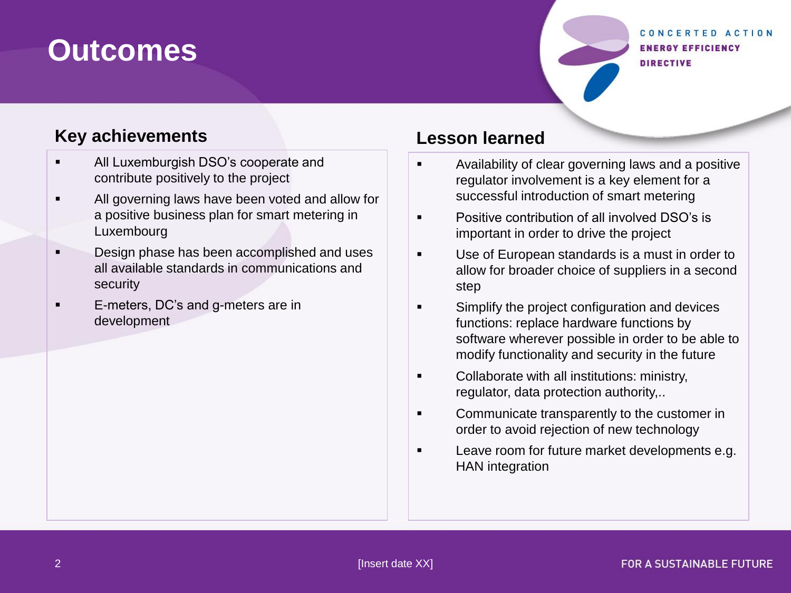## **Outcomes**

#### CONCERTED ACTION **ENERGY EFFICIENCY DIRECTIVE**

#### **Key achievements**

- All Luxemburgish DSO's cooperate and contribute positively to the project
- **All governing laws have been voted and allow for** a positive business plan for smart metering in Luxembourg
- **Design phase has been accomplished and uses** all available standards in communications and security
- E-meters, DC's and g-meters are in development

#### **Lesson learned**

- **EXEDENT** Availability of clear governing laws and a positive regulator involvement is a key element for a successful introduction of smart metering
- **EXECUTE:** Positive contribution of all involved DSO's is important in order to drive the project
- Use of European standards is a must in order to allow for broader choice of suppliers in a second step
- **Simplify the project configuration and devices** functions: replace hardware functions by software wherever possible in order to be able to modify functionality and security in the future
- **Collaborate with all institutions: ministry,** regulator, data protection authority,..
- **EXECOMMUNICATE TRANSPARENTIST COMMUNICATE IT COMMUNICATE** order to avoid rejection of new technology
- **Leave room for future market developments e.g.** HAN integration